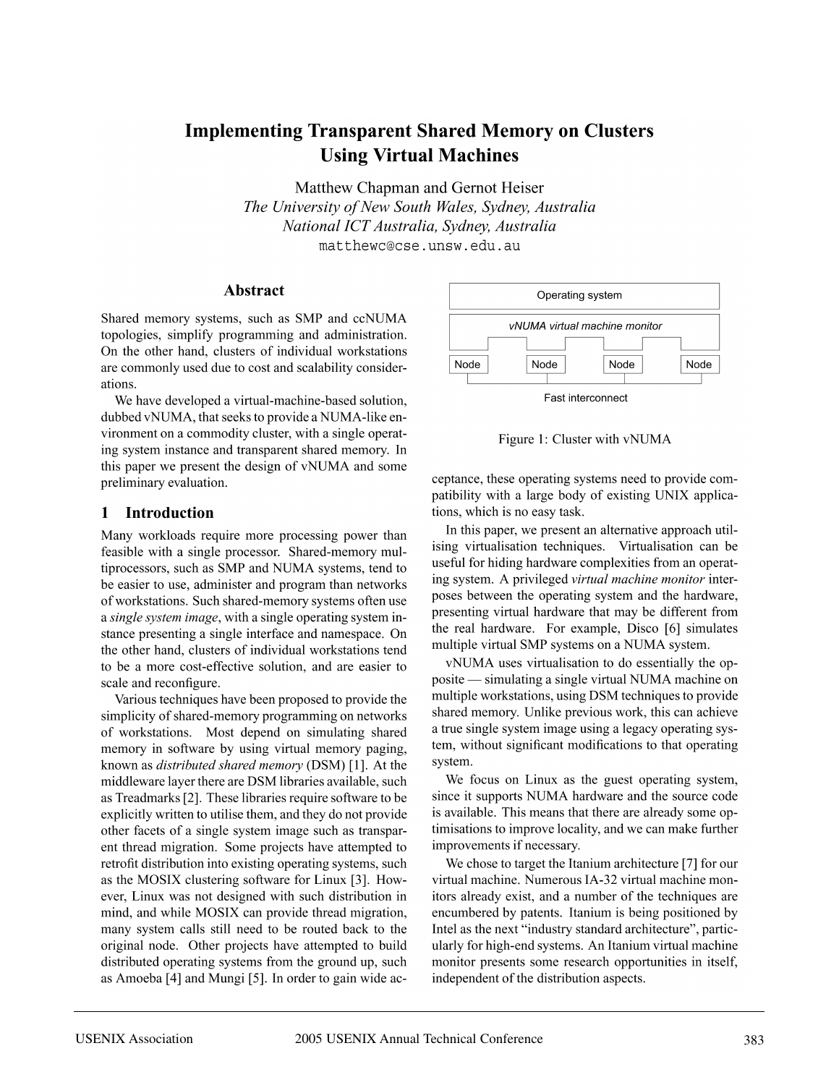# **Implementing Transparent Shared Memory on Clusters Using Virtual Machines**

Matthew Chapman and Gernot Heiser The University of New South Wales, Sydney, Australia National ICT Australia, Sydney, Australia matthewc@cse.unsw.edu.au

#### **Abstract**

Shared memory systems, such as SMP and ccNUMA topologies, simplify programming and administration. On the other hand, clusters of individual workstations are commonly used due to cost and scalability considerations.

We have developed a virtual-machine-based solution, dubbed vNUMA, that seeks to provide a NUMA-like environment on a commodity cluster, with a single operating system instance and transparent shared memory. In this paper we present the design of vNUMA and some preliminary evaluation.

#### 1 Introduction

Many workloads require more processing power than feasible with a single processor. Shared-memory multiprocessors, such as SMP and NUMA systems, tend to be easier to use, administer and program than networks of workstations. Such shared-memory systems often use a single system image, with a single operating system instance presenting a single interface and namespace. On the other hand, clusters of individual workstations tend to be a more cost-effective solution, and are easier to scale and reconfigure.

Various techniques have been proposed to provide the simplicity of shared-memory programming on networks of workstations. Most depend on simulating shared memory in software by using virtual memory paging, known as *distributed shared memory* (DSM) [1]. At the middleware layer there are DSM libraries available, such as Treadmarks [2]. These libraries require software to be explicitly written to utilise them, and they do not provide other facets of a single system image such as transparent thread migration. Some projects have attempted to retrofit distribution into existing operating systems, such as the MOSIX clustering software for Linux [3]. However, Linux was not designed with such distribution in mind, and while MOSIX can provide thread migration, many system calls still need to be routed back to the original node. Other projects have attempted to build distributed operating systems from the ground up, such as Amoeba [4] and Mungi [5]. In order to gain wide ac-



Figure 1: Cluster with vNUMA

ceptance, these operating systems need to provide compatibility with a large body of existing UNIX applications, which is no easy task.

In this paper, we present an alternative approach utilising virtualisation techniques. Virtualisation can be useful for hiding hardware complexities from an operating system. A privileged virtual machine monitor interposes between the operating system and the hardware, presenting virtual hardware that may be different from the real hardware. For example, Disco [6] simulates multiple virtual SMP systems on a NUMA system.

vNUMA uses virtualisation to do essentially the opposite — simulating a single virtual NUMA machine on multiple workstations, using DSM techniques to provide shared memory. Unlike previous work, this can achieve a true single system image using a legacy operating system, without significant modifications to that operating system.

We focus on Linux as the guest operating system, since it supports NUMA hardware and the source code is available. This means that there are already some optimisations to improve locality, and we can make further improvements if necessary.

We chose to target the Itanium architecture [7] for our virtual machine. Numerous IA-32 virtual machine monitors already exist, and a number of the techniques are encumbered by patents. Itanium is being positioned by Intel as the next "industry standard architecture", particularly for high-end systems. An Itanium virtual machine monitor presents some research opportunities in itself, independent of the distribution aspects.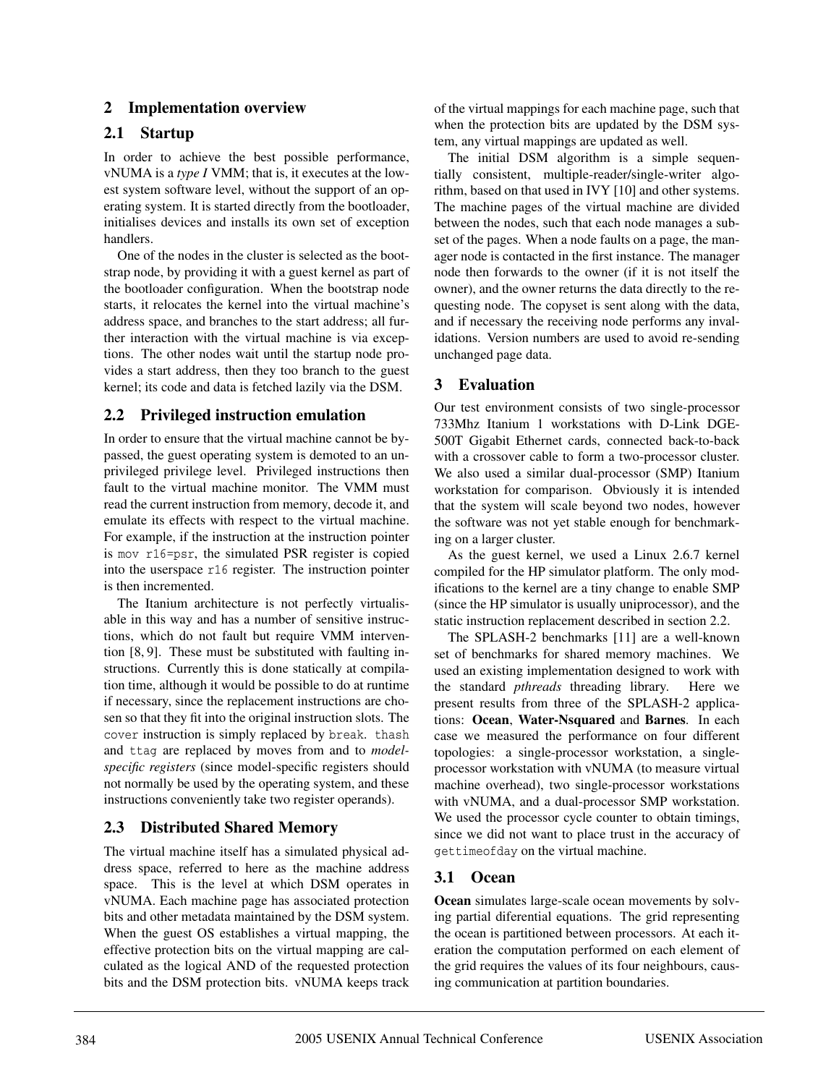## **2 Implementation overview**

## **2.1 Startup**

In order to achieve the best possible performance, vNUMA is a *type I* VMM; that is, it executes at the lowest system software level, without the support of an operating system. It is started directly from the bootloader, initialises devices and installs its own set of exception handlers.

One of the nodes in the cluster is selected as the bootstrap node, by providing it with a guest kernel as part of the bootloader configuration. When the bootstrap node starts, it relocates the kernel into the virtual machine's address space, and branches to the start address; all further interaction with the virtual machine is via exceptions. The other nodes wait until the startup node provides a start address, then they too branch to the guest kernel; its code and data is fetched lazily via the DSM.

## **2.2 Privileged instruction emulation**

In order to ensure that the virtual machine cannot be bypassed, the guest operating system is demoted to an unprivileged privilege level. Privileged instructions then fault to the virtual machine monitor. The VMM must read the current instruction from memory, decode it, and emulate its effects with respect to the virtual machine. For example, if the instruction at the instruction pointer is mov r16=psr, the simulated PSR register is copied into the userspace r16 register. The instruction pointer is then incremented.

The Itanium architecture is not perfectly virtualisable in this way and has a number of sensitive instructions, which do not fault but require VMM intervention [8, 9]. These must be substituted with faulting instructions. Currently this is done statically at compilation time, although it would be possible to do at runtime if necessary, since the replacement instructions are chosen so that they fit into the original instruction slots. The cover instruction is simply replaced by break. thash and ttag are replaced by moves from and to *modelspecific registers* (since model-specific registers should not normally be used by the operating system, and these instructions conveniently take two register operands).

# **2.3 Distributed Shared Memory**

The virtual machine itself has a simulated physical address space, referred to here as the machine address space. This is the level at which DSM operates in vNUMA. Each machine page has associated protection bits and other metadata maintained by the DSM system. When the guest OS establishes a virtual mapping, the effective protection bits on the virtual mapping are calculated as the logical AND of the requested protection bits and the DSM protection bits. vNUMA keeps track of the virtual mappings for each machine page, such that when the protection bits are updated by the DSM system, any virtual mappings are updated as well.

The initial DSM algorithm is a simple sequentially consistent, multiple-reader/single-writer algorithm, based on that used in IVY [10] and other systems. The machine pages of the virtual machine are divided between the nodes, such that each node manages a subset of the pages. When a node faults on a page, the manager node is contacted in the first instance. The manager node then forwards to the owner (if it is not itself the owner), and the owner returns the data directly to the requesting node. The copyset is sent along with the data, and if necessary the receiving node performs any invalidations. Version numbers are used to avoid re-sending unchanged page data.

## **3 Evaluation**

Our test environment consists of two single-processor 733Mhz Itanium 1 workstations with D-Link DGE-500T Gigabit Ethernet cards, connected back-to-back with a crossover cable to form a two-processor cluster. We also used a similar dual-processor (SMP) Itanium workstation for comparison. Obviously it is intended that the system will scale beyond two nodes, however the software was not yet stable enough for benchmarking on a larger cluster.

As the guest kernel, we used a Linux 2.6.7 kernel compiled for the HP simulator platform. The only modifications to the kernel are a tiny change to enable SMP (since the HP simulator is usually uniprocessor), and the static instruction replacement described in section 2.2.

The SPLASH-2 benchmarks [11] are a well-known set of benchmarks for shared memory machines. We used an existing implementation designed to work with the standard *pthreads* threading library. Here we present results from three of the SPLASH-2 applications: **Ocean**, **Water-Nsquared** and **Barnes**. In each case we measured the performance on four different topologies: a single-processor workstation, a singleprocessor workstation with vNUMA (to measure virtual machine overhead), two single-processor workstations with vNUMA, and a dual-processor SMP workstation. We used the processor cycle counter to obtain timings, since we did not want to place trust in the accuracy of gettimeofday on the virtual machine.

# **3.1 Ocean**

**Ocean** simulates large-scale ocean movements by solving partial diferential equations. The grid representing the ocean is partitioned between processors. At each iteration the computation performed on each element of the grid requires the values of its four neighbours, causing communication at partition boundaries.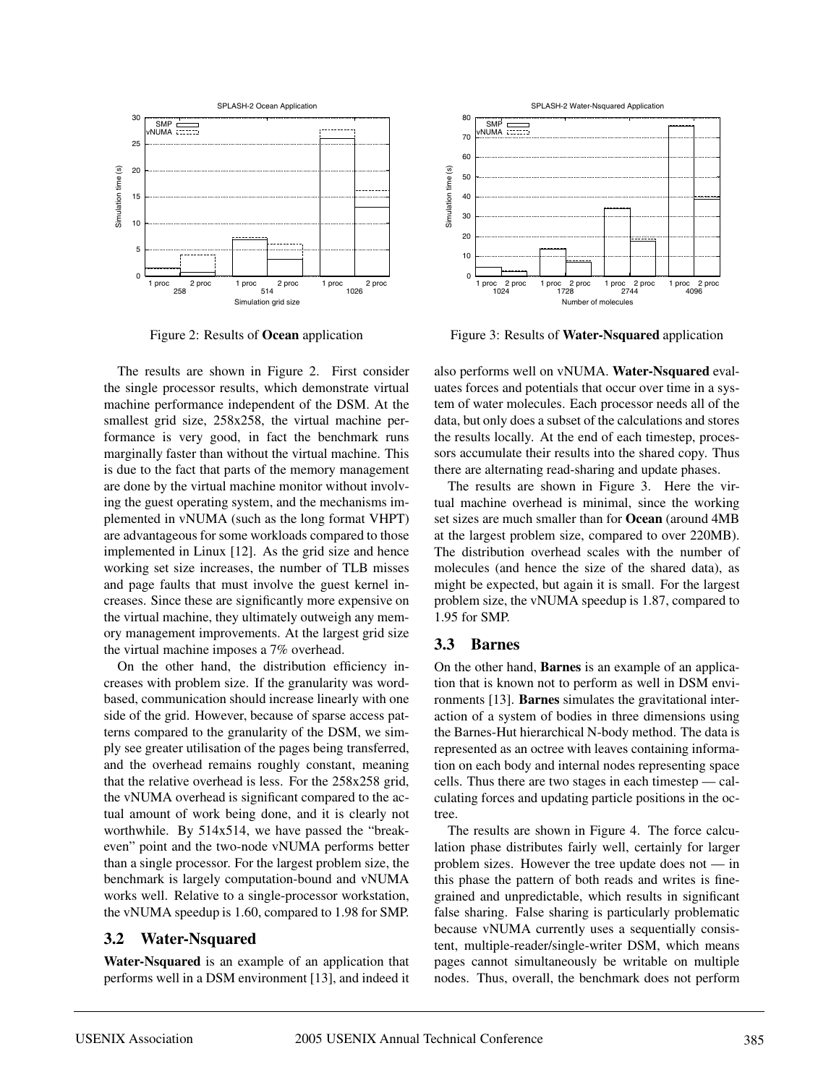

Figure 2: Results of **Ocean** application

The results are shown in Figure 2. First consider the single processor results, which demonstrate virtual machine performance independent of the DSM. At the smallest grid size, 258x258, the virtual machine performance is very good, in fact the benchmark runs marginally faster than without the virtual machine. This is due to the fact that parts of the memory management are done by the virtual machine monitor without involving the guest operating system, and the mechanisms implemented in vNUMA (such as the long format VHPT) are advantageous for some workloads compared to those implemented in Linux [12]. As the grid size and hence working set size increases, the number of TLB misses and page faults that must involve the guest kernel increases. Since these are significantly more expensive on the virtual machine, they ultimately outweigh any memory management improvements. At the largest grid size the virtual machine imposes a 7% overhead.

On the other hand, the distribution efficiency increases with problem size. If the granularity was wordbased, communication should increase linearly with one side of the grid. However, because of sparse access patterns compared to the granularity of the DSM, we simply see greater utilisation of the pages being transferred, and the overhead remains roughly constant, meaning that the relative overhead is less. For the 258x258 grid, the vNUMA overhead is significant compared to the actual amount of work being done, and it is clearly not worthwhile. By 514x514, we have passed the "breakeven" point and the two-node vNUMA performs better than a single processor. For the largest problem size, the benchmark is largely computation-bound and vNUMA works well. Relative to a single-processor workstation, the vNUMA speedup is 1.60, compared to 1.98 for SMP.

#### **3.2 Water-Nsquared**

**Water-Nsquared** is an example of an application that performs well in a DSM environment [13], and indeed it



Figure 3: Results of **Water-Nsquared** application

also performs well on vNUMA. **Water-Nsquared** evaluates forces and potentials that occur over time in a system of water molecules. Each processor needs all of the data, but only does a subset of the calculations and stores the results locally. At the end of each timestep, processors accumulate their results into the shared copy. Thus there are alternating read-sharing and update phases.

The results are shown in Figure 3. Here the virtual machine overhead is minimal, since the working set sizes are much smaller than for **Ocean** (around 4MB at the largest problem size, compared to over 220MB). The distribution overhead scales with the number of molecules (and hence the size of the shared data), as might be expected, but again it is small. For the largest problem size, the vNUMA speedup is 1.87, compared to 1.95 for SMP.

## **3.3 Barnes**

On the other hand, **Barnes** is an example of an application that is known not to perform as well in DSM environments [13]. **Barnes** simulates the gravitational interaction of a system of bodies in three dimensions using the Barnes-Hut hierarchical N-body method. The data is represented as an octree with leaves containing information on each body and internal nodes representing space cells. Thus there are two stages in each timestep — calculating forces and updating particle positions in the octree.

The results are shown in Figure 4. The force calculation phase distributes fairly well, certainly for larger problem sizes. However the tree update does not — in this phase the pattern of both reads and writes is finegrained and unpredictable, which results in significant false sharing. False sharing is particularly problematic because vNUMA currently uses a sequentially consistent, multiple-reader/single-writer DSM, which means pages cannot simultaneously be writable on multiple nodes. Thus, overall, the benchmark does not perform